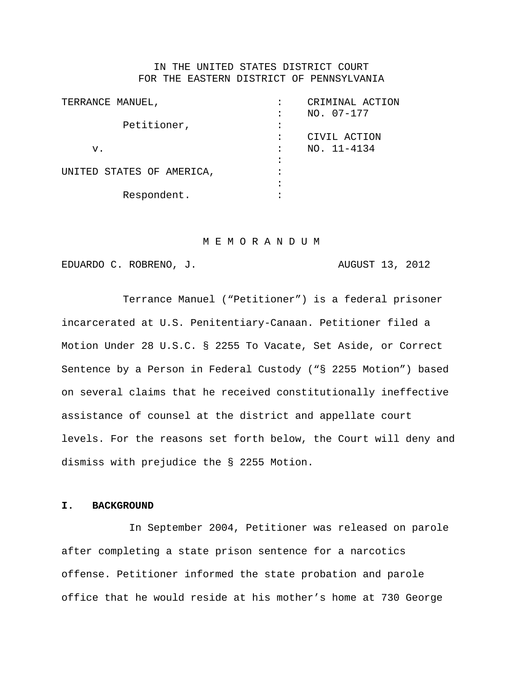## IN THE UNITED STATES DISTRICT COURT FOR THE EASTERN DISTRICT OF PENNSYLVANIA

| TERRANCE MANUEL,          | CRIMINAL ACTION |
|---------------------------|-----------------|
|                           | $NO. 07-177$    |
| Petitioner,               |                 |
|                           | CIVIL ACTION    |
| v.                        | NO. 11-4134     |
|                           |                 |
| UNITED STATES OF AMERICA, |                 |
|                           |                 |
| Respondent.               |                 |
|                           |                 |

### M E M O R A N D U M

EDUARDO C. ROBRENO, J. AUGUST 13, 2012

Terrance Manuel ("Petitioner") is a federal prisoner incarcerated at U.S. Penitentiary-Canaan. Petitioner filed a Motion Under 28 U.S.C. § 2255 To Vacate, Set Aside, or Correct Sentence by a Person in Federal Custody ("§ 2255 Motion") based on several claims that he received constitutionally ineffective assistance of counsel at the district and appellate court levels. For the reasons set forth below, the Court will deny and dismiss with prejudice the § 2255 Motion.

## **I. BACKGROUND**

In September 2004, Petitioner was released on parole after completing a state prison sentence for a narcotics offense. Petitioner informed the state probation and parole office that he would reside at his mother's home at 730 George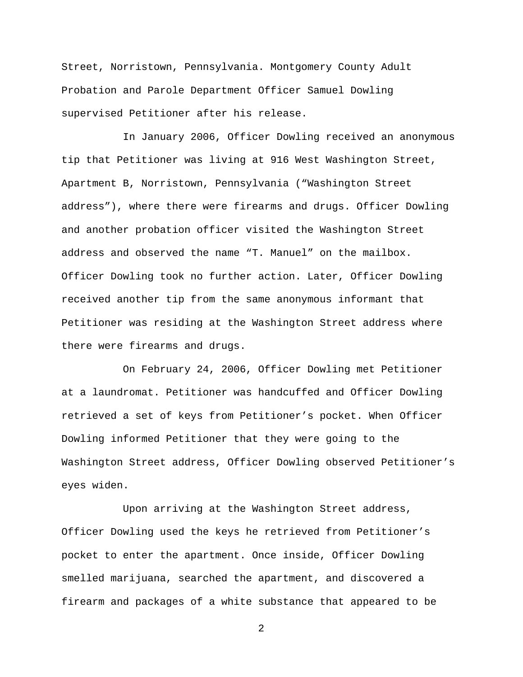Street, Norristown, Pennsylvania. Montgomery County Adult Probation and Parole Department Officer Samuel Dowling supervised Petitioner after his release.

In January 2006, Officer Dowling received an anonymous tip that Petitioner was living at 916 West Washington Street, Apartment B, Norristown, Pennsylvania ("Washington Street address"), where there were firearms and drugs. Officer Dowling and another probation officer visited the Washington Street address and observed the name "T. Manuel" on the mailbox. Officer Dowling took no further action. Later, Officer Dowling received another tip from the same anonymous informant that Petitioner was residing at the Washington Street address where there were firearms and drugs.

On February 24, 2006, Officer Dowling met Petitioner at a laundromat. Petitioner was handcuffed and Officer Dowling retrieved a set of keys from Petitioner's pocket. When Officer Dowling informed Petitioner that they were going to the Washington Street address, Officer Dowling observed Petitioner's eyes widen.

Upon arriving at the Washington Street address, Officer Dowling used the keys he retrieved from Petitioner's pocket to enter the apartment. Once inside, Officer Dowling smelled marijuana, searched the apartment, and discovered a firearm and packages of a white substance that appeared to be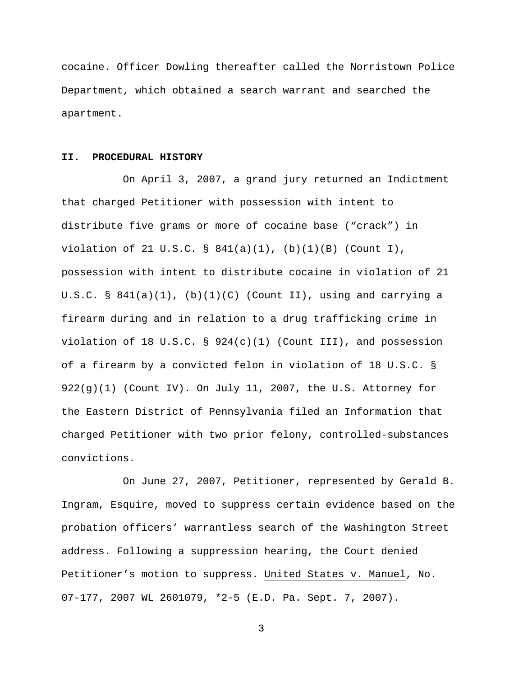cocaine. Officer Dowling thereafter called the Norristown Police Department, which obtained a search warrant and searched the apartment.

# **II. PROCEDURAL HISTORY**

On April 3, 2007, a grand jury returned an Indictment that charged Petitioner with possession with intent to distribute five grams or more of cocaine base ("crack") in violation of 21 U.S.C. § 841(a)(1), (b)(1)(B) (Count I), possession with intent to distribute cocaine in violation of 21 U.S.C. §  $841(a)(1)$ , (b)(1)(C) (Count II), using and carrying a firearm during and in relation to a drug trafficking crime in violation of 18 U.S.C.  $\S$  924(c)(1) (Count III), and possession of a firearm by a convicted felon in violation of 18 U.S.C. § 922(g)(1) (Count IV). On July 11, 2007, the U.S. Attorney for the Eastern District of Pennsylvania filed an Information that charged Petitioner with two prior felony, controlled-substances convictions.

On June 27, 2007, Petitioner, represented by Gerald B. Ingram, Esquire, moved to suppress certain evidence based on the probation officers' warrantless search of the Washington Street address. Following a suppression hearing, the Court denied Petitioner's motion to suppress. United States v. Manuel, No. 07-177, 2007 WL 2601079, \*2-5 (E.D. Pa. Sept. 7, 2007).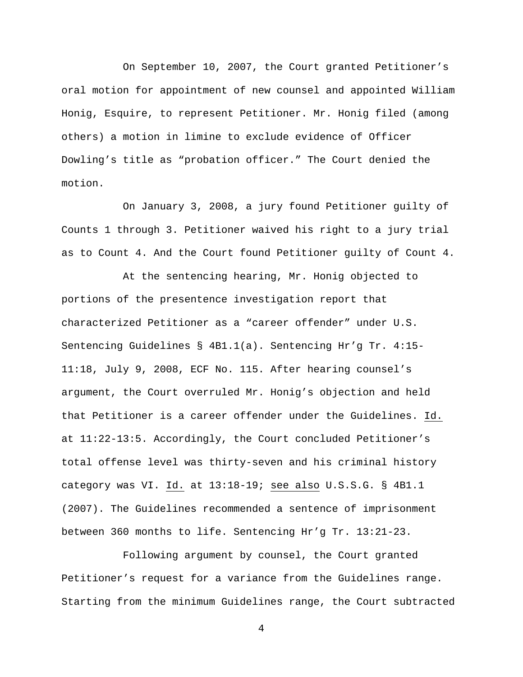On September 10, 2007, the Court granted Petitioner's oral motion for appointment of new counsel and appointed William Honig, Esquire, to represent Petitioner. Mr. Honig filed (among others) a motion in limine to exclude evidence of Officer Dowling's title as "probation officer." The Court denied the motion.

On January 3, 2008, a jury found Petitioner guilty of Counts 1 through 3. Petitioner waived his right to a jury trial as to Count 4. And the Court found Petitioner guilty of Count 4.

At the sentencing hearing, Mr. Honig objected to portions of the presentence investigation report that characterized Petitioner as a "career offender" under U.S. Sentencing Guidelines § 4B1.1(a). Sentencing Hr'g Tr. 4:15- 11:18, July 9, 2008, ECF No. 115. After hearing counsel's argument, the Court overruled Mr. Honig's objection and held that Petitioner is a career offender under the Guidelines. Id. at 11:22-13:5. Accordingly, the Court concluded Petitioner's total offense level was thirty-seven and his criminal history category was VI. <u>Id.</u> at 13:18–19; <u>see also</u> U.S.S.G. § 4B1.1 (2007). The Guidelines recommended a sentence of imprisonment between 360 months to life. Sentencing Hr'g Tr. 13:21-23.

Following argument by counsel, the Court granted Petitioner's request for a variance from the Guidelines range. Starting from the minimum Guidelines range, the Court subtracted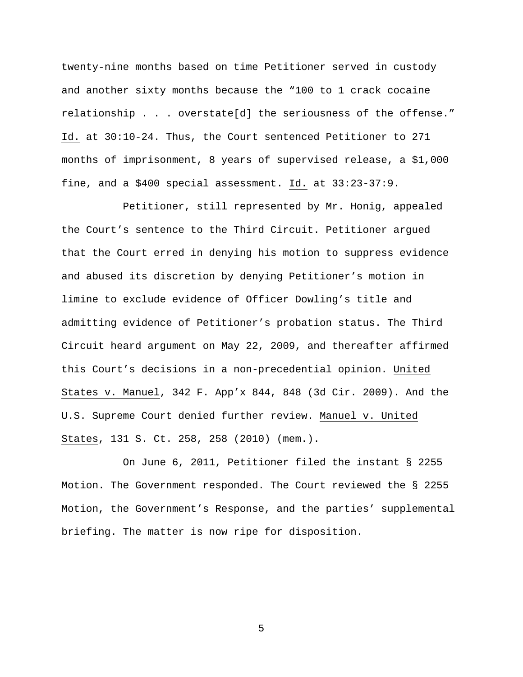twenty-nine months based on time Petitioner served in custody and another sixty months because the "100 to 1 crack cocaine relationship . . . overstate[d] the seriousness of the offense." Id. at 30:10-24. Thus, the Court sentenced Petitioner to 271 months of imprisonment, 8 years of supervised release, a \$1,000 fine, and a \$400 special assessment. <u>Id.</u> at 33:23-37:9.

Petitioner, still represented by Mr. Honig, appealed the Court's sentence to the Third Circuit. Petitioner argued that the Court erred in denying his motion to suppress evidence and abused its discretion by denying Petitioner's motion in limine to exclude evidence of Officer Dowling's title and admitting evidence of Petitioner's probation status. The Third Circuit heard argument on May 22, 2009, and thereafter affirmed this Court's decisions in a non-precedential opinion. <u>United</u> States v. Manuel, 342 F. App'x 844, 848 (3d Cir. 2009). And the U.S. Supreme Court denied further review. Manuel v. United States , 131 S. Ct. 258, 258 (2010) (mem.).

On June 6, 2011, Petitioner filed the instant § 2255 Motion. The Government responded. The Court reviewed the § 2255 Motion, the Government's Response, and the parties' supplemental briefing. The matter is now ripe for disposition.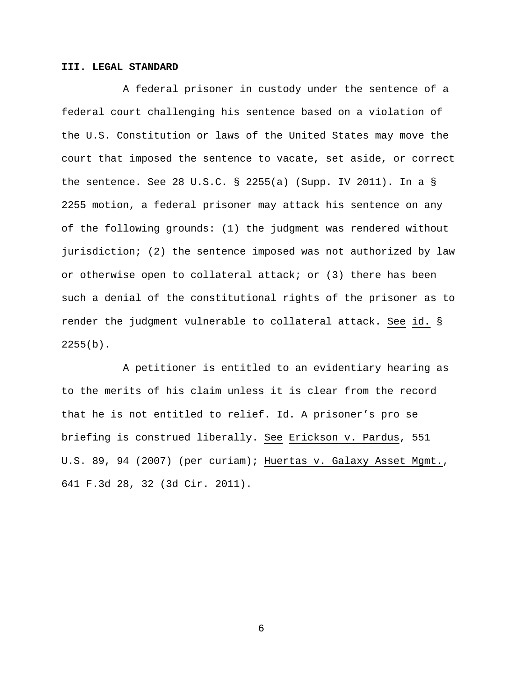## **III. LEGAL STANDARD**

A federal prisoner in custody under the sentence of a federal court challenging his sentence based on a violation of the U.S. Constitution or laws of the United States may move the court that imposed the sentence to vacate, set aside, or correct the sentence. See 28 U.S.C. § 2255(a) (Supp. IV 2011). In a § 2255 motion, a federal prisoner may attack his sentence on any of the following grounds: (1) the judgment was rendered without jurisdiction; (2) the sentence imposed was not authorized by law or otherwise open to collateral attack; or (3) there has been such a denial of the constitutional rights of the prisoner as to render the judgment vulnerable to collateral attack. <u>See id.</u> §  $2255(b)$ .

A petitioner is entitled to an evidentiary hearing as to the merits of his claim unless it is clear from the record that he is not entitled to relief. <u>Id.</u> A prisoner's pro se briefing is construed liberally. See Erickson v. Pardus, 551 U.S. 89, 94 (2007) (per curiam); Huertas v. Galaxy Asset Mgmt., 641 F.3d 28, 32 (3d Cir. 2011).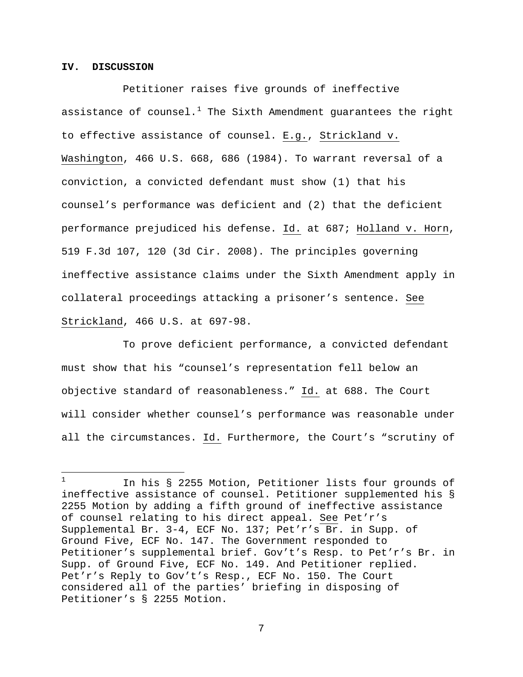## **IV. DISCUSSION**

Petitioner raises five grounds of ineffective assistance of counsel.<sup>[1](#page-6-0)</sup> The Sixth Amendment quarantees the right to effective assistance of counsel. E.g., Strickland v. Washington, 466 U.S. 668, 686 (1984). To warrant reversal of a conviction, a convicted defendant must show (1) that his counsel's performance was deficient and (2) that the deficient performance prejudiced his defense. Id. at 687; Holland v. Horn, 519 F.3d 107, 120 (3d Cir. 2008). The principles governing ineffective assistance claims under the Sixth Amendment apply in collateral proceedings attacking a prisoner's sentence. See Strickland , 466 U.S. at 697-98.

To prove deficient performance, a convicted defendant must show that his "counsel's representation fell below an objective standard of reasonableness." Id. at 688. The Court will consider whether counsel's performance was reasonable under all the circumstances. <u>Id.</u> Furthermore, the Court's "scrutiny of

<span id="page-6-0"></span> $\mathbf{1}$ <sup>1</sup> In his § 2255 Motion, Petitioner lists four grounds of ineffective assistance of counsel. Petitioner supplemented his § 2255 Motion by adding a fifth ground of ineffective assistance of counsel relating to his direct appeal. See Pet'r's Supplemental Br. 3-4, ECF No. 137; Pet'r's Br. in Supp. of Ground Five, ECF No. 147. The Government responded to Petitioner's supplemental brief. Gov't's Resp. to Pet'r's Br. in Supp. of Ground Five, ECF No. 149. And Petitioner replied. Pet'r's Reply to Gov't's Resp., ECF No. 150. The Court considered all of the parties' briefing in disposing of Petitioner's § 2255 Motion.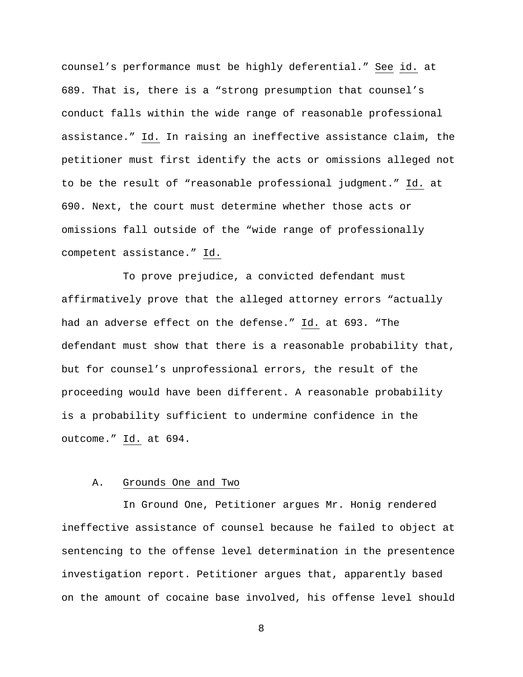counsel's performance must be highly deferential." See id. at 689. That is, there is a "strong presumption that counsel's conduct falls within the wide range of reasonable professional assistance." Id. In raising an ineffective assistance claim, the petitioner must first identify the acts or omissions alleged not to be the result of "reasonable professional judgment." Id. at 690. Next, the court must determine whether those acts or omissions fall outside of the "wide range of professionally competent assistance." Id.

To prove prejudice, a convicted defendant must affirmatively prove that the alleged attorney errors "actually had an adverse effect on the defense." <u>Id.</u> at 693. "The defendant must show that there is a reasonable probability that, but for counsel's unprofessional errors, the result of the proceeding would have been different. A reasonable probability is a probability sufficient to undermine confidence in the outcome." Id. at 694.

#### A. Grounds One and Two

In Ground One, Petitioner argues Mr. Honig rendered ineffective assistance of counsel because he failed to object at sentencing to the offense level determination in the presentence investigation report. Petitioner argues that, apparently based on the amount of cocaine base involved, his offense level should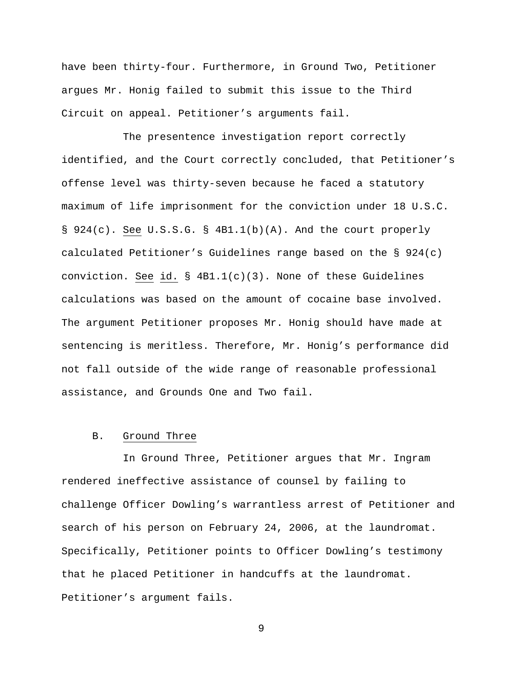have been thirty-four. Furthermore, in Ground Two, Petitioner argues Mr. Honig failed to submit this issue to the Third Circuit on appeal. Petitioner's arguments fail.

The presentence investigation report correctly identified, and the Court correctly concluded, that Petitioner's offense level was thirty-seven because he faced a statutory maximum of life imprisonment for the conviction under 18 U.S.C. § 924(c). See U.S.S.G. § 4B1.1(b)(A). And the court properly calculated Petitioner's Guidelines range based on the § 924(c) conviction. <u>See id.</u> § 4B1.1(c)(3). None of these Guidelines calculations was based on the amount of cocaine base involved. The argument Petitioner proposes Mr. Honig should have made at sentencing is meritless. Therefore, Mr. Honig's performance did not fall outside of the wide range of reasonable professional assistance, and Grounds One and Two fail.

#### B. Ground Three

In Ground Three, Petitioner argues that Mr. Ingram rendered ineffective assistance of counsel by failing to challenge Officer Dowling's warrantless arrest of Petitioner and search of his person on February 24, 2006, at the laundromat. Specifically, Petitioner points to Officer Dowling's testimony that he placed Petitioner in handcuffs at the laundromat. Petitioner's argument fails.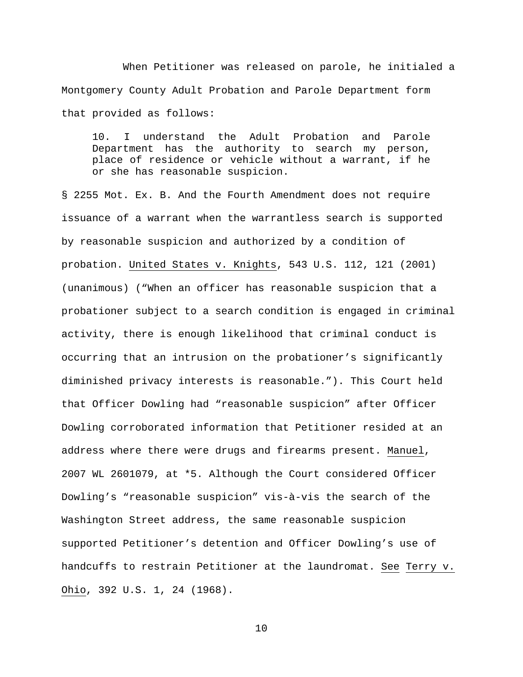When Petitioner was released on parole, he initialed a Montgomery County Adult Probation and Parole Department form that provided as follows:

10. I understand the Adult Probation and Parole Department has the authority to search my person, place of residence or vehicle without a warrant, if he or she has reasonable suspicion.

§ 2255 Mot. Ex. B. And the Fourth Amendment does not require issuance of a warrant when the warrantless search is supported by reasonable suspicion and authorized by a condition of probation. United States v. Knights, 543 U.S. 112, 121 (2001) (unanimous) ("When an officer has reasonable suspicion that a probationer subject to a search condition is engaged in criminal activity, there is enough likelihood that criminal conduct is occurring that an intrusion on the probationer's significantly diminished privacy interests is reasonable."). This Court held that Officer Dowling had "reasonable suspicion" after Officer Dowling corroborated information that Petitioner resided at an address where there were drugs and firearms present. Manuel, 2007 WL 2601079, at \*5. Although the Court considered Officer Dowling's "reasonable suspicion" vis-à-vis the search of the Washington Street address, the same reasonable suspicion supported Petitioner's detention and Officer Dowling's use of handcuffs to restrain Petitioner at the laundromat. See Terry v. Ohio, 392 U.S. 1, 24 (1968).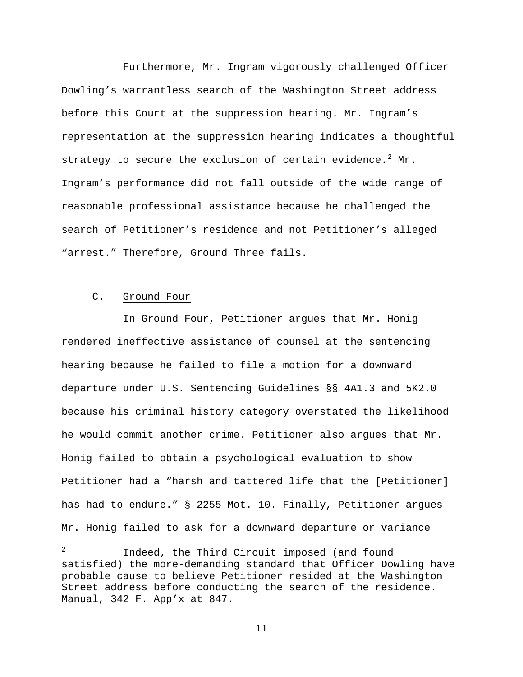Furthermore, Mr. Ingram vigorously challenged Officer Dowling's warrantless search of the Washington Street address before this Court at the suppression hearing. Mr. Ingram's representation at the suppression hearing indicates a thoughtful strategy to secure the exclusion of certain evidence.  $2^{2}$  $2^{2}$  Mr. Ingram's performance did not fall outside of the wide range of reasonable professional assistance because he challenged the search of Petitioner's residence and not Petitioner's alleged "arrest." Therefore, Ground Three fails.

#### C. Ground Four

In Ground Four, Petitioner argues that Mr. Honig rendered ineffective assistance of counsel at the sentencing hearing because he failed to file a motion for a downward departure under U.S. Sentencing Guidelines §§ 4A1.3 and 5K2.0 because his criminal history category overstated the likelihood he would commit another crime. Petitioner also argues that Mr. Honig failed to obtain a psychological evaluation to show Petitioner had a "harsh and tattered life that the [Petitioner] has had to endure." § 2255 Mot. 10. Finally, Petitioner argues Mr. Honig failed to ask for a downward departure or variance

<span id="page-10-0"></span> $\overline{a}$ Indeed, the Third Circuit imposed (and found satisfied) the more-demanding standard that Officer Dowling have probable cause to believe Petitioner resided at the Washington Street address before conducting the search of the residence. Manual, 342 F. App'x at 847.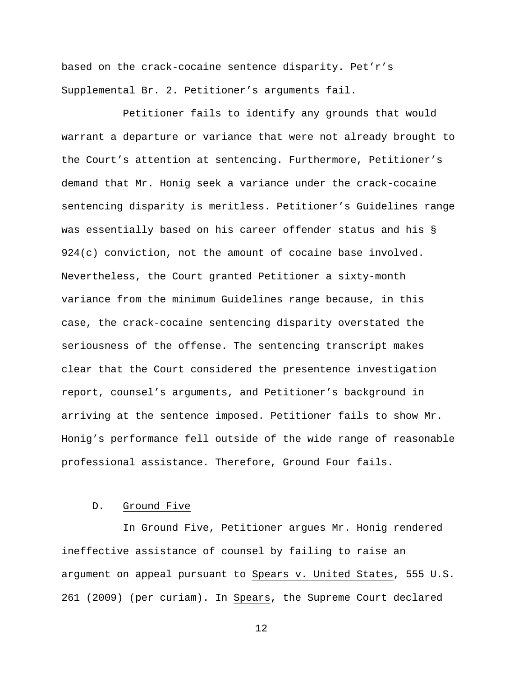based on the crack-cocaine sentence disparity. Pet'r's Supplemental Br. 2. Petitioner's arguments fail.

Petitioner fails to identify any grounds that would warrant a departure or variance that were not already brought to the Court's attention at sentencing. Furthermore, Petitioner's demand that Mr. Honig seek a variance under the crack-cocaine sentencing disparity is meritless. Petitioner's Guidelines range was essentially based on his career offender status and his § 924(c) conviction, not the amount of cocaine base involved. Nevertheless, the Court granted Petitioner a sixty-month variance from the minimum Guidelines range because, in this case, the crack-cocaine sentencing disparity overstated the seriousness of the offense. The sentencing transcript makes clear that the Court considered the presentence investigation report, counsel's arguments, and Petitioner's background in arriving at the sentence imposed. Petitioner fails to show Mr. Honig's performance fell outside of the wide range of reasonable professional assistance. Therefore, Ground Four fails.

#### D. Ground Five

In Ground Five, Petitioner argues Mr. Honig rendered ineffective assistance of counsel by failing to raise an argument on appeal pursuant to <u>Spears v. United States</u>, 555 U.S. 261 (2009) (per curiam). In Spears, the Supreme Court declared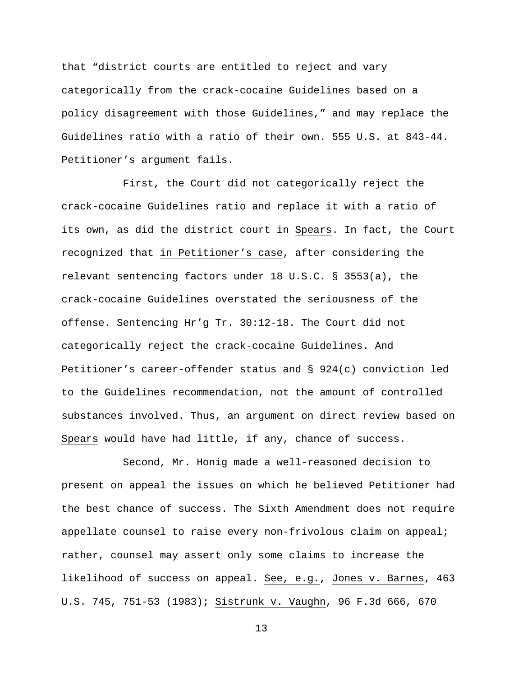that "district courts are entitled to reject and vary categorically from the crack-cocaine Guidelines based on a policy disagreement with those Guidelines," and may replace the Guidelines ratio with a ratio of their own. 555 U.S. at 843-44. Petitioner's argument fails.

First, the Court did not categorically reject the crack-cocaine Guidelines ratio and replace it with a ratio of its own, as did the district court in Spears. In fact, the Court recognized that in Petitioner's case, after considering the relevant sentencing factors under 18 U.S.C. § 3553(a), the crack-cocaine Guidelines overstated the seriousness of the offense. Sentencing Hr'g Tr. 30:12-18. The Court did not categorically reject the crack-cocaine Guidelines. And Petitioner's career-offender status and § 924(c) conviction led to the Guidelines recommendation, not the amount of controlled substances involved. Thus, an argument on direct review based on Spears would have had little, if any, chance of success.

Second, Mr. Honig made a well-reasoned decision to present on appeal the issues on which he believed Petitioner had the best chance of success. The Sixth Amendment does not require appellate counsel to raise every non-frivolous claim on appeal; rather, counsel may assert only some claims to increase the likelihood of success on appeal. <u>See, e.g., Jones v. Barnes</u>, 463 U.S. 745, 751-53 (1983); Sistrunk v. Vaughn, 96 F.3d 666, 670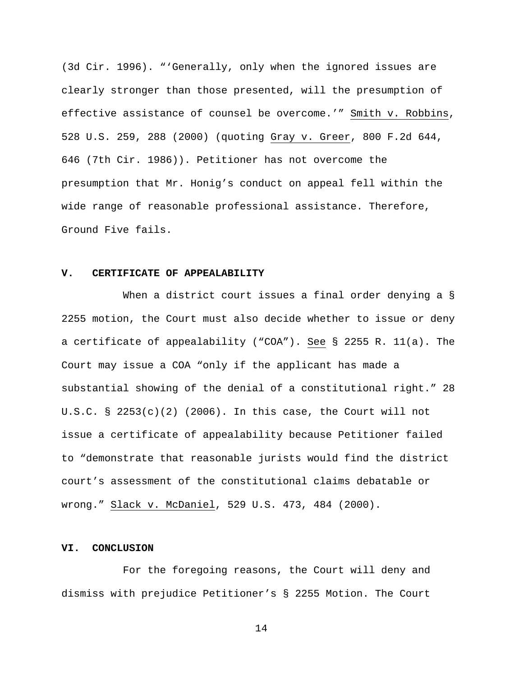(3d Cir. 1996). "'Generally, only when the ignored issues are clearly stronger than those presented, will the presumption of effective assistance of counsel be overcome.'" Smith v. Robbins, 528 U.S. 259, 288 (2000) (quoting <u>Gray v. Greer</u>, 800 F.2d 644, 646 (7th Cir. 1986)). Petitioner has not overcome the presumption that Mr. Honig's conduct on appeal fell within the wide range of reasonable professional assistance. Therefore, Ground Five fails.

# **V. CERTIFICATE OF APPEALABILITY**

When a district court issues a final order denying a § 2255 motion, the Court must also decide whether to issue or deny a certificate of appealability ("COA"). See § 2255 R. 11(a). The Court may issue a COA "only if the applicant has made a substantial showing of the denial of a constitutional right." 28 U.S.C. §  $2253(c)(2)$  (2006). In this case, the Court will not issue a certificate of appealability because Petitioner failed to "demonstrate that reasonable jurists would find the district court's assessment of the constitutional claims debatable or wrong." <u>Slack v. McDaniel</u>, 529 U.S. 473, 484 (2000).

## **VI. CONCLUSION**

For the foregoing reasons, the Court will deny and dismiss with prejudice Petitioner's § 2255 Motion. The Court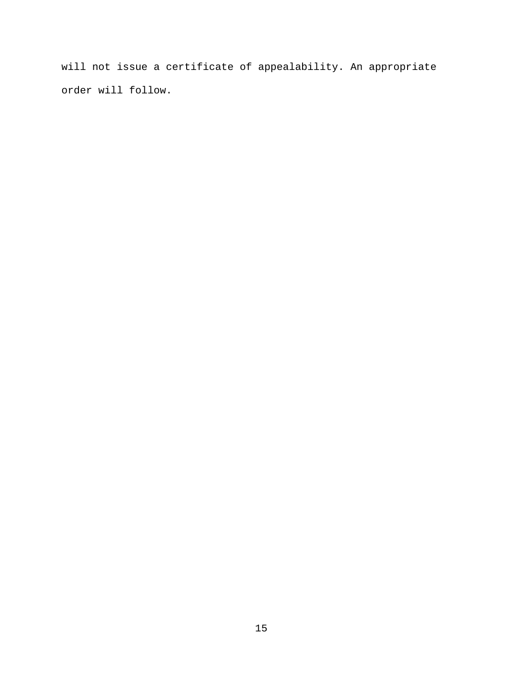will not issue a certificate of appealability. An appropriate order will follow.